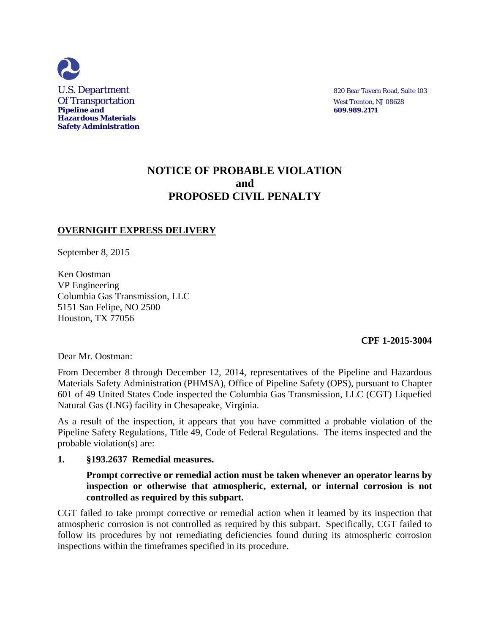

# **NOTICE OF PROBABLE VIOLATION and PROPOSED CIVIL PENALTY**

# **OVERNIGHT EXPRESS DELIVERY**

September 8, 2015

Ken Oostman VP Engineering Columbia Gas Transmission, LLC 5151 San Felipe, NO 2500 Houston, TX 77056

 **CPF 1-2015-3004** 

Dear Mr. Oostman:

From December 8 through December 12, 2014, representatives of the Pipeline and Hazardous Materials Safety Administration (PHMSA), Office of Pipeline Safety (OPS), pursuant to Chapter 601 of 49 United States Code inspected the Columbia Gas Transmission, LLC (CGT) Liquefied Natural Gas (LNG) facility in Chesapeake, Virginia.

As a result of the inspection, it appears that you have committed a probable violation of the Pipeline Safety Regulations, Title 49, Code of Federal Regulations. The items inspected and the probable violation(s) are:

### **1. §193.2637 Remedial measures.**

# **Prompt corrective or remedial action must be taken whenever an operator learns by inspection or otherwise that atmospheric, external, or internal corrosion is not controlled as required by this subpart.**

CGT failed to take prompt corrective or remedial action when it learned by its inspection that atmospheric corrosion is not controlled as required by this subpart. Specifically, CGT failed to follow its procedures by not remediating deficiencies found during its atmospheric corrosion inspections within the timeframes specified in its procedure.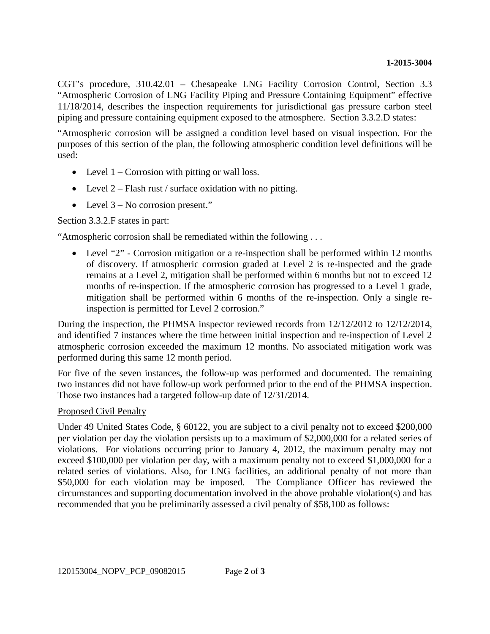CGT's procedure, 310.42.01 – Chesapeake LNG Facility Corrosion Control, Section 3.3 "Atmospheric Corrosion of LNG Facility Piping and Pressure Containing Equipment" effective 11/18/2014, describes the inspection requirements for jurisdictional gas pressure carbon steel piping and pressure containing equipment exposed to the atmosphere. Section 3.3.2.D states:

"Atmospheric corrosion will be assigned a condition level based on visual inspection. For the purposes of this section of the plan, the following atmospheric condition level definitions will be used:

- Level  $1$  Corrosion with pitting or wall loss.
- Level  $2 -$  Flash rust / surface oxidation with no pitting.
- Level 3 No corrosion present."

Section 3.3.2.F states in part:

"Atmospheric corrosion shall be remediated within the following . . .

• Level "2" - Corrosion mitigation or a re-inspection shall be performed within 12 months of discovery. If atmospheric corrosion graded at Level 2 is re-inspected and the grade remains at a Level 2, mitigation shall be performed within 6 months but not to exceed 12 months of re-inspection. If the atmospheric corrosion has progressed to a Level 1 grade, mitigation shall be performed within 6 months of the re-inspection. Only a single reinspection is permitted for Level 2 corrosion."

During the inspection, the PHMSA inspector reviewed records from 12/12/2012 to 12/12/2014, and identified 7 instances where the time between initial inspection and re-inspection of Level 2 atmospheric corrosion exceeded the maximum 12 months. No associated mitigation work was performed during this same 12 month period.

For five of the seven instances, the follow-up was performed and documented. The remaining two instances did not have follow-up work performed prior to the end of the PHMSA inspection. Those two instances had a targeted follow-up date of 12/31/2014.

### Proposed Civil Penalty

Under 49 United States Code, § 60122, you are subject to a civil penalty not to exceed \$200,000 per violation per day the violation persists up to a maximum of \$2,000,000 for a related series of violations. For violations occurring prior to January 4, 2012, the maximum penalty may not exceed \$100,000 per violation per day, with a maximum penalty not to exceed \$1,000,000 for a related series of violations. Also, for LNG facilities, an additional penalty of not more than \$50,000 for each violation may be imposed. The Compliance Officer has reviewed the circumstances and supporting documentation involved in the above probable violation(s) and has recommended that you be preliminarily assessed a civil penalty of \$58,100 as follows: